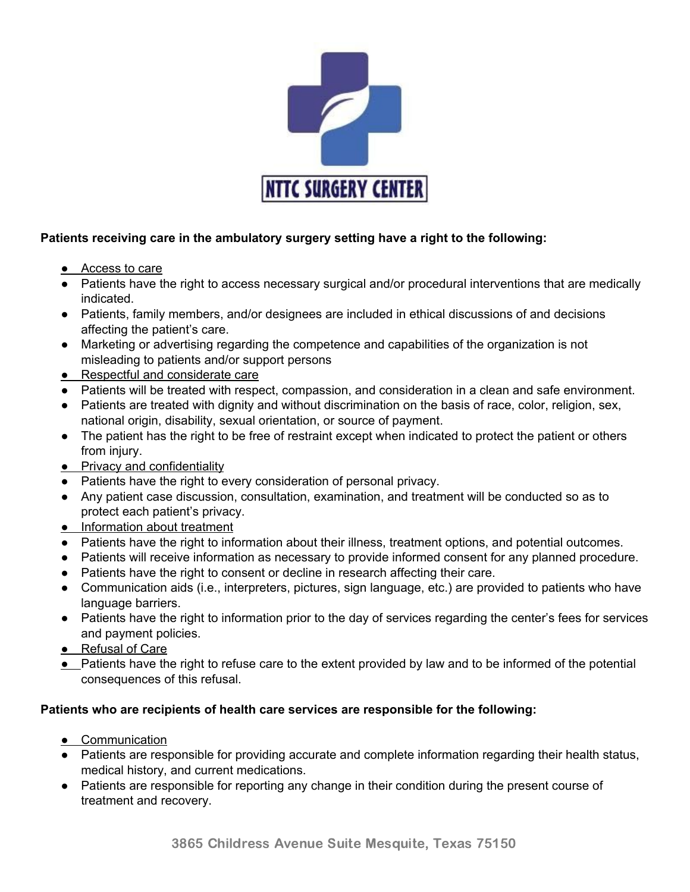

## **Patients receiving care in the ambulatory surgery setting have a right to the following:**

- Access to care
- Patients have the right to access necessary surgical and/or procedural interventions that are medically indicated.
- Patients, family members, and/or designees are included in ethical discussions of and decisions affecting the patient's care.
- Marketing or advertising regarding the competence and capabilities of the organization is not misleading to patients and/or support persons
- Respectful and considerate care
- Patients will be treated with respect, compassion, and consideration in a clean and safe environment.
- Patients are treated with dignity and without discrimination on the basis of race, color, religion, sex, national origin, disability, sexual orientation, or source of payment.
- The patient has the right to be free of restraint except when indicated to protect the patient or others from injury.
- Privacy and confidentiality
- Patients have the right to every consideration of personal privacy.
- Any patient case discussion, consultation, examination, and treatment will be conducted so as to protect each patient's privacy.
- Information about treatment
- Patients have the right to information about their illness, treatment options, and potential outcomes.
- Patients will receive information as necessary to provide informed consent for any planned procedure.
- Patients have the right to consent or decline in research affecting their care.
- Communication aids (i.e., interpreters, pictures, sign language, etc.) are provided to patients who have language barriers.
- Patients have the right to information prior to the day of services regarding the center's fees for services and payment policies.
- Refusal of Care
- Patients have the right to refuse care to the extent provided by law and to be informed of the potential consequences of this refusal.

## **Patients who are recipients of health care services are responsible for the following:**

- Communication
- Patients are responsible for providing accurate and complete information regarding their health status, medical history, and current medications.
- Patients are responsible for reporting any change in their condition during the present course of treatment and recovery.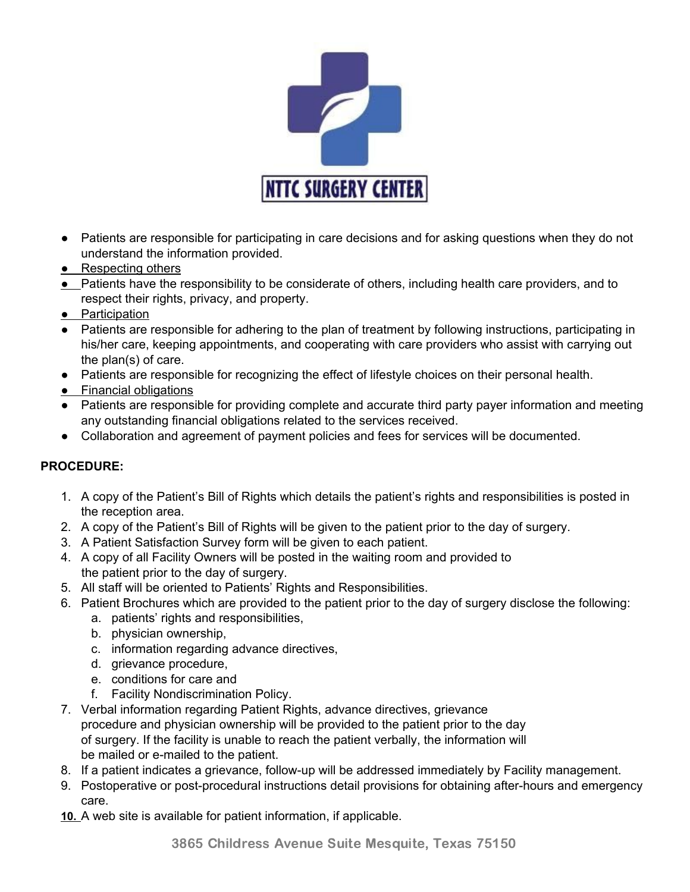

- Patients are responsible for participating in care decisions and for asking questions when they do not understand the information provided.
- Respecting others
- **•** Patients have the responsibility to be considerate of others, including health care providers, and to respect their rights, privacy, and property.
- Participation
- Patients are responsible for adhering to the plan of treatment by following instructions, participating in his/her care, keeping appointments, and cooperating with care providers who assist with carrying out the plan(s) of care.
- Patients are responsible for recognizing the effect of lifestyle choices on their personal health.
- Financial obligations
- Patients are responsible for providing complete and accurate third party payer information and meeting any outstanding financial obligations related to the services received.
- Collaboration and agreement of payment policies and fees for services will be documented.

## **PROCEDURE:**

- 1. A copy of the Patient's Bill of Rights which details the patient's rights and responsibilities is posted in the reception area.
- 2. A copy of the Patient's Bill of Rights will be given to the patient prior to the day of surgery.
- 3. A Patient Satisfaction Survey form will be given to each patient.
- 4. A copy of all Facility Owners will be posted in the waiting room and provided to the patient prior to the day of surgery.
- 5. All staff will be oriented to Patients' Rights and Responsibilities.
- 6. Patient Brochures which are provided to the patient prior to the day of surgery disclose the following:
	- a. patients' rights and responsibilities,
	- b. physician ownership,
	- c. information regarding advance directives,
	- d. grievance procedure,
	- e. conditions for care and
	- f. Facility Nondiscrimination Policy.
- 7. Verbal information regarding Patient Rights, advance directives, grievance procedure and physician ownership will be provided to the patient prior to the day of surgery. If the facility is unable to reach the patient verbally, the information will be mailed or e-mailed to the patient.
- 8. If a patient indicates a grievance, follow-up will be addressed immediately by Facility management.
- 9. Postoperative or post-procedural instructions detail provisions for obtaining after-hours and emergency care.
- **10.** A web site is available for patient information, if applicable.